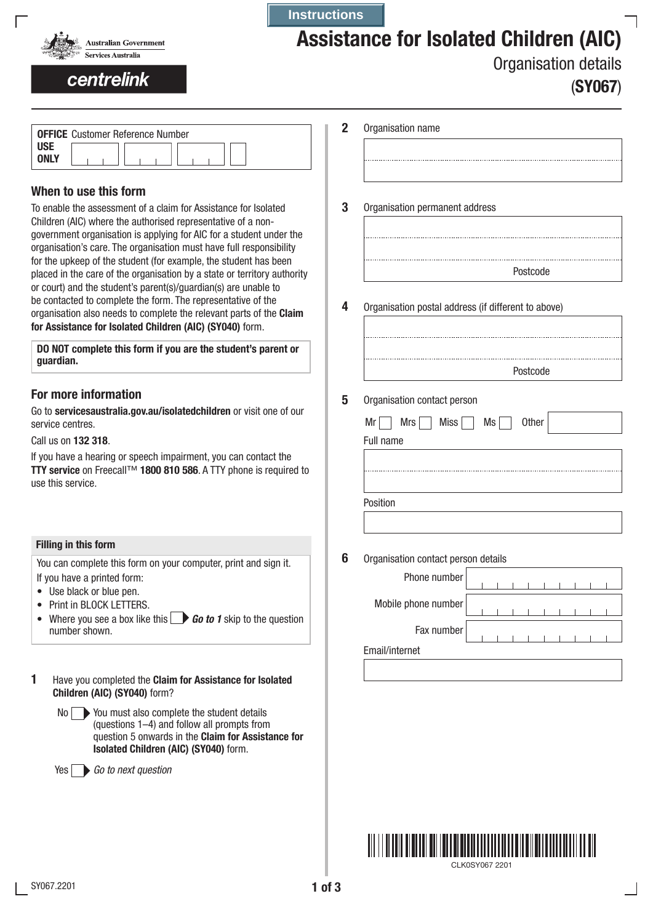

# Assistance for Isolated Children (AIC)

## centrelink

Organisation details

| (SY067) |
|---------|
|         |

|             | <b>OFFICE</b> Customer Reference Number |  |  |  |  |  |
|-------------|-----------------------------------------|--|--|--|--|--|
| <b>USE</b>  |                                         |  |  |  |  |  |
| <b>ONLY</b> |                                         |  |  |  |  |  |

### When to use this form

To enable the assessment of a claim for Assistance for Isolated Children (AIC) where the authorised representative of a nongovernment organisation is applying for AIC for a student under the organisation's care. The organisation must have full responsibility for the upkeep of the student (for example, the student has been placed in the care of the organisation by a state or territory authority or court) and the student's parent(s)/guardian(s) are unable to be contacted to complete the form. The representative of the organisation also needs to complete the relevant parts of the Claim for Assistance for Isolated Children (AIC) (SY040) form.

DO NOT complete this form if you are the student's parent or guardian.

#### For more information

Go to servicesaustralia.gov.au/isolatedchildren or visit one of our service centres.

Call us on 132 318.

If you have a hearing or speech impairment, you can contact the TTY service on Freecall™ 1800 810 586. A TTY phone is required to use this service.

#### Filling in this form

You can complete this form on your computer, print and sign it. If you have a printed form:

- Use black or blue pen.
- Print in BLOCK LETTERS.
- Where you see a box like this **Go to 1** skip to the question number shown.

1 Have you completed the Claim for Assistance for Isolated Children (AIC) (SY040) form?

| No I | ▶ You must also complete the student details              |
|------|-----------------------------------------------------------|
|      | (questions $1-4$ ) and follow all prompts from            |
|      | question 5 onwards in the <b>Claim for Assistance for</b> |
|      | Isolated Children (AIC) (SY040) form.                     |

Yes *Go to next question*

| 2<br>Organisation name |  |
|------------------------|--|
|------------------------|--|

**Instructions**

- 
- Organisation permanent address 3

| Postcode |
|----------|

Organisation postal address (if different to above) 4

| Postcode |
|----------|
|          |
|          |
|          |

#### Organisation contact person 5

| $Mrs$ Miss $Ms$<br>Mr | Other |
|-----------------------|-------|
| Full name             |       |
|                       |       |
|                       |       |
|                       |       |
| Position              |       |
|                       |       |

**6** Organisation contact person details

| Phone number        |  |  |  |  |  |
|---------------------|--|--|--|--|--|
| Mobile phone number |  |  |  |  |  |
| Fax number          |  |  |  |  |  |
| Email/internet      |  |  |  |  |  |
|                     |  |  |  |  |  |

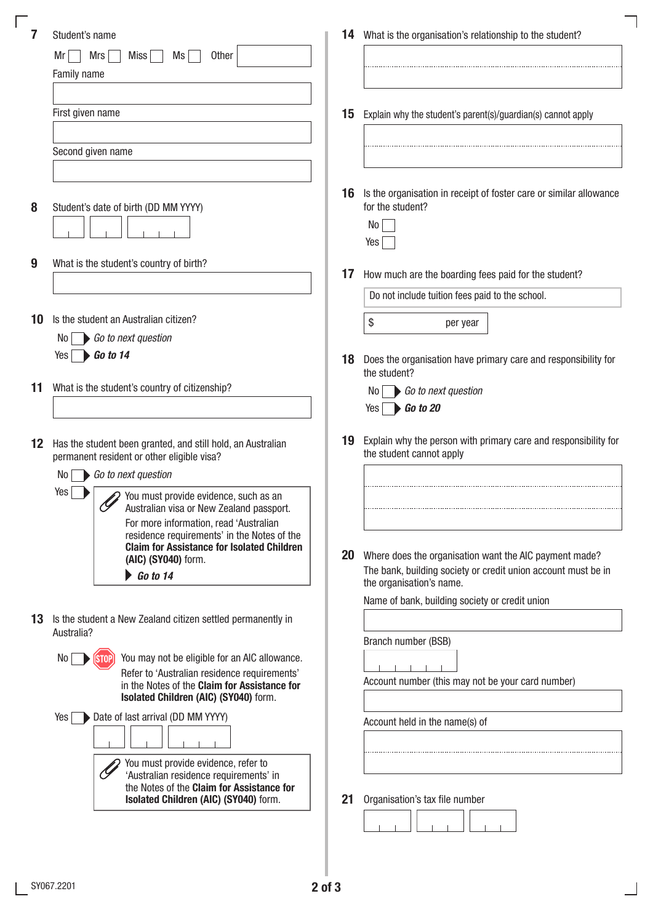|                 | Student's name                                                                                   |    | 14 What is the organisation's relationship to the student?                                                              |
|-----------------|--------------------------------------------------------------------------------------------------|----|-------------------------------------------------------------------------------------------------------------------------|
|                 | <b>Other</b><br>Mr<br>Mrs<br>Miss<br>Ms                                                          |    |                                                                                                                         |
|                 | Family name                                                                                      |    |                                                                                                                         |
|                 | First given name                                                                                 | 15 | Explain why the student's parent(s)/guardian(s) cannot apply                                                            |
|                 |                                                                                                  |    |                                                                                                                         |
|                 | Second given name                                                                                |    |                                                                                                                         |
|                 |                                                                                                  |    |                                                                                                                         |
|                 |                                                                                                  | 16 | Is the organisation in receipt of foster care or similar allowance                                                      |
| 8               | Student's date of birth (DD MM YYYY)                                                             |    | for the student?                                                                                                        |
|                 |                                                                                                  |    | No                                                                                                                      |
|                 |                                                                                                  |    | Yes                                                                                                                     |
| 9               | What is the student's country of birth?                                                          | 17 | How much are the boarding fees paid for the student?                                                                    |
|                 |                                                                                                  |    | Do not include tuition fees paid to the school.                                                                         |
| 10              | Is the student an Australian citizen?                                                            |    | \$                                                                                                                      |
|                 | Go to next question<br>No <sub>1</sub>                                                           |    | per year                                                                                                                |
|                 | $Yes \rightarrow Go to 14$                                                                       | 18 | Does the organisation have primary care and responsibility for                                                          |
|                 |                                                                                                  |    | the student?                                                                                                            |
| 11              | What is the student's country of citizenship?                                                    |    | Go to next question<br>No I                                                                                             |
|                 |                                                                                                  |    | Yes $\Box$ Go to 20                                                                                                     |
| 12 <sup>2</sup> | Has the student been granted, and still hold, an Australian                                      | 19 | Explain why the person with primary care and responsibility for                                                         |
|                 | permanent resident or other eligible visa?                                                       |    | the student cannot apply                                                                                                |
|                 | Go to next question<br>No                                                                        |    |                                                                                                                         |
|                 | Yes<br>You must provide evidence, such as an<br>Ò<br>Australian visa or New Zealand passport.    |    |                                                                                                                         |
|                 | For more information, read 'Australian                                                           |    |                                                                                                                         |
|                 | residence requirements' in the Notes of the<br><b>Claim for Assistance for Isolated Children</b> |    |                                                                                                                         |
|                 | (AIC) (SY040) form.                                                                              | 20 | Where does the organisation want the AIC payment made?<br>The bank, building society or credit union account must be in |
|                 | $\bigtriangledown$ Go to 14                                                                      |    | the organisation's name.                                                                                                |
|                 |                                                                                                  |    | Name of bank, building society or credit union                                                                          |
| 13              | Is the student a New Zealand citizen settled permanently in<br>Australia?                        |    |                                                                                                                         |
|                 |                                                                                                  |    | Branch number (BSB)                                                                                                     |
|                 | You may not be eligible for an AIC allowance.<br>No                                              |    |                                                                                                                         |
|                 | Refer to 'Australian residence requirements'<br>in the Notes of the Claim for Assistance for     |    | Account number (this may not be your card number)                                                                       |
|                 | Isolated Children (AIC) (SY040) form.                                                            |    |                                                                                                                         |
|                 | Date of last arrival (DD MM YYYY)<br>Yes                                                         |    | Account held in the name(s) of                                                                                          |
|                 |                                                                                                  |    |                                                                                                                         |
|                 | You must provide evidence, refer to                                                              |    |                                                                                                                         |
|                 | 'Australian residence requirements' in<br>the Notes of the Claim for Assistance for              |    |                                                                                                                         |
|                 | Isolated Children (AIC) (SY040) form.                                                            | 21 | Organisation's tax file number                                                                                          |
|                 |                                                                                                  |    |                                                                                                                         |

 $\overline{\phantom{0}}$